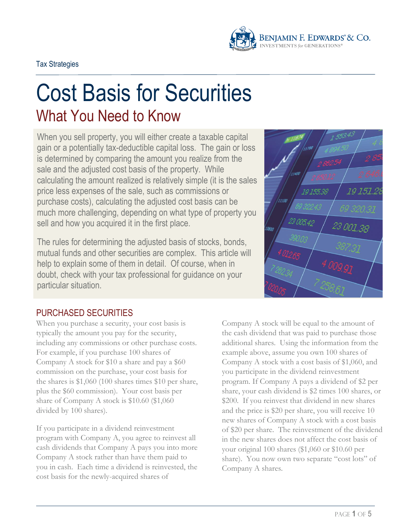

# Cost Basis for Securities What You Need to Know

When you sell property, you will either create a taxable capital gain or a potentially tax-deductible capital loss. The gain or loss is determined by comparing the amount you realize from the sale and the adjusted cost basis of the property. While calculating the amount realized is relatively simple (it is the sales price less expenses of the sale, such as commissions or purchase costs), calculating the adjusted cost basis can be much more challenging, depending on what type of property you sell and how you acquired it in the first place.

The rules for determining the adjusted basis of stocks, bonds, mutual funds and other securities are complex. This article will help to explain some of them in detail. Of course, when in doubt, check with your tax professional for guidance on your particular situation.



# PURCHASED SECURITIES

When you purchase a security, your cost basis is typically the amount you pay for the security, including any commissions or other purchase costs. For example, if you purchase 100 shares of Company A stock for \$10 a share and pay a \$60 commission on the purchase, your cost basis for the shares is \$1,060 (100 shares times \$10 per share, plus the \$60 commission). Your cost basis per share of Company A stock is \$10.60 (\$1,060 divided by 100 shares).

If you participate in a dividend reinvestment program with Company A, you agree to reinvest all cash dividends that Company A pays you into more Company A stock rather than have them paid to you in cash. Each time a dividend is reinvested, the cost basis for the newly-acquired shares of

Company A stock will be equal to the amount of the cash dividend that was paid to purchase those additional shares. Using the information from the example above, assume you own 100 shares of Company A stock with a cost basis of \$1,060, and you participate in the dividend reinvestment program. If Company A pays a dividend of \$2 per share, your cash dividend is \$2 times 100 shares, or \$200. If you reinvest that dividend in new shares and the price is \$20 per share, you will receive 10 new shares of Company A stock with a cost basis of \$20 per share. The reinvestment of the dividend in the new shares does not affect the cost basis of your original 100 shares (\$1,060 or \$10.60 per share). You now own two separate "cost lots" of Company A shares.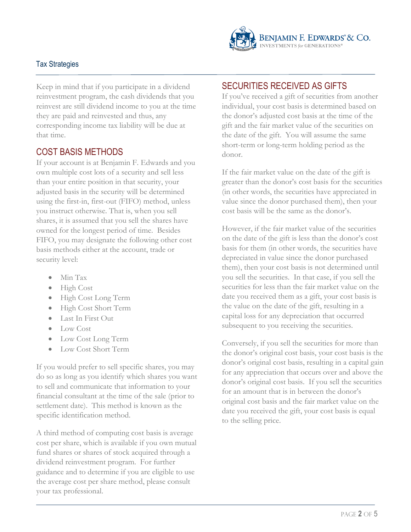

Keep in mind that if you participate in a dividend reinvestment program, the cash dividends that you reinvest are still dividend income to you at the time they are paid and reinvested and thus, any corresponding income tax liability will be due at that time.

# COST BASIS METHODS

If your account is at Benjamin F. Edwards and you own multiple cost lots of a security and sell less than your entire position in that security, your adjusted basis in the security will be determined using the first-in, first-out (FIFO) method, unless you instruct otherwise. That is, when you sell shares, it is assumed that you sell the shares have owned for the longest period of time. Besides FIFO, you may designate the following other cost basis methods either at the account, trade or security level:

- Min Tax
- High Cost
- High Cost Long Term
- High Cost Short Term
- Last In First Out
- Low Cost
- Low Cost Long Term
- Low Cost Short Term

If you would prefer to sell specific shares, you may do so as long as you identify which shares you want to sell and communicate that information to your financial consultant at the time of the sale (prior to settlement date). This method is known as the specific identification method.

A third method of computing cost basis is average cost per share, which is available if you own mutual fund shares or shares of stock acquired through a dividend reinvestment program. For further guidance and to determine if you are eligible to use the average cost per share method, please consult your tax professional.

# SECURITIES RECEIVED AS GIFTS

If you've received a gift of securities from another individual, your cost basis is determined based on the donor's adjusted cost basis at the time of the gift and the fair market value of the securities on the date of the gift. You will assume the same short-term or long-term holding period as the donor.

If the fair market value on the date of the gift is greater than the donor's cost basis for the securities (in other words, the securities have appreciated in value since the donor purchased them), then your cost basis will be the same as the donor's.

However, if the fair market value of the securities on the date of the gift is less than the donor's cost basis for them (in other words, the securities have depreciated in value since the donor purchased them), then your cost basis is not determined until you sell the securities. In that case, if you sell the securities for less than the fair market value on the date you received them as a gift, your cost basis is the value on the date of the gift, resulting in a capital loss for any depreciation that occurred subsequent to you receiving the securities.

Conversely, if you sell the securities for more than the donor's original cost basis, your cost basis is the donor's original cost basis, resulting in a capital gain for any appreciation that occurs over and above the donor's original cost basis. If you sell the securities for an amount that is in between the donor's original cost basis and the fair market value on the date you received the gift, your cost basis is equal to the selling price.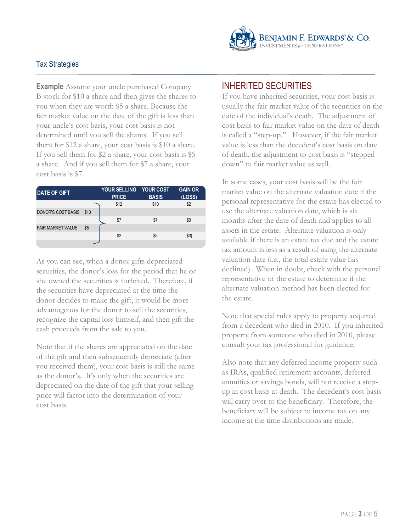

**Example** Assume your uncle purchased Company B stock for \$10 a share and then gives the shares to you when they are worth \$5 a share. Because the fair market value on the date of the gift is less than your uncle's cost basis, your cost basis is not determined until you sell the shares. If you sell them for \$12 a share, your cost basis is \$10 a share. If you sell them for \$2 a share, your cost basis is \$5 a share. And if you sell them for \$7 a share, your cost basis is \$7.

| <b>DATE OF GIFT</b>       |      | <b>YOUR SELLING</b><br><b>PRICE</b> | <b>YOUR COST</b><br><b>BASIS</b> | <b>GAIN OR</b><br>(LOSS) |
|---------------------------|------|-------------------------------------|----------------------------------|--------------------------|
|                           |      | \$12                                | \$10                             | \$2                      |
| <b>DONOR'S COST BASIS</b> | \$10 |                                     |                                  |                          |
|                           |      | \$7                                 | \$7                              | \$0                      |
| <b>FAIR MARKET VALUE</b>  | \$5  |                                     |                                  |                          |
|                           |      | \$2                                 | \$5                              | '\$3                     |
|                           |      |                                     |                                  |                          |

As you can see, when a donor gifts depreciated securities, the donor's loss for the period that he or she owned the securities is forfeited. Therefore, if the securities have depreciated at the time the donor decides to make the gift, it would be more advantageous for the donor to sell the securities, recognize the capital loss himself, and then gift the cash proceeds from the sale to you.

Note that if the shares are appreciated on the date of the gift and then subsequently depreciate (after you received them), your cost basis is still the same as the donor's. It's only when the securities are depreciated on the date of the gift that your selling price will factor into the determination of your cost basis.

## INHERITED SECURITIES

If you have inherited securities, your cost basis is usually the fair market value of the securities on the date of the individual's death. The adjustment of cost basis to fair market value on the date of death is called a "step-up." However, if the fair market value is less than the decedent's cost basis on date of death, the adjustment to cost basis is "stepped down" to fair market value as well.

In some cases, your cost basis will be the fair market value on the alternate valuation date if the personal representative for the estate has elected to use the alternate valuation date, which is six months after the date of death and applies to all assets in the estate. Alternate valuation is only available if there is an estate tax due and the estate tax amount is less as a result of using the alternate valuation date (i.e., the total estate value has declined). When in doubt, check with the personal representative of the estate to determine if the alternate valuation method has been elected for the estate.

Note that special rules apply to property acquired from a decedent who died in 2010. If you inherited property from someone who died in 2010, please consult your tax professional for guidance.

Also note that any deferred income property such as IRAs, qualified retirement accounts, deferred annuities or savings bonds, will not receive a stepup in cost basis at death. The decedent's cost basis will carry over to the beneficiary. Therefore, the beneficiary will be subject to income tax on any income at the time distributions are made.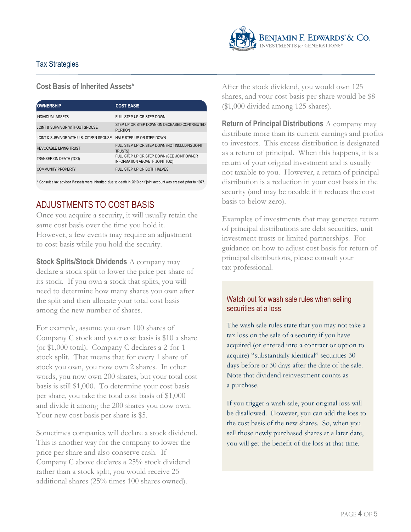

#### **Cost Basis of Inherited Assets\***

| <b>OWNERSHIP</b>                                                    | <b>COST BASIS</b>                                                             |
|---------------------------------------------------------------------|-------------------------------------------------------------------------------|
| <b>INDIVIDUAL ASSETS</b>                                            | FULL STEP UP OR STEP DOWN                                                     |
| JOINT & SURVIVOR WITHOUT SPOUSE                                     | STEP UP OR STEP DOWN ON DECEASED CONTRIBUTED<br><b>PORTION</b>                |
| JOINT & SURVIVOR WITH U.S. CITIZEN SPOUSE HALF STEP UP OR STEP DOWN |                                                                               |
| <b>REVOCABLE LIVING TRUST</b>                                       | FULL STEP UP OR STEP DOWN (NOT INCLUDING JOINT<br><b>TRUSTS)</b>              |
| TRANSER ON DEATH (TOD)                                              | FULL STEP UP OR STEP DOWN (SEE JOINT OWNER<br>INFORMATION ABOVE IF JOINT TOD) |
| <b>COMMUNITY PROPERTY</b>                                           | FULL STEP UP ON BOTH HALVES                                                   |
|                                                                     |                                                                               |

\* Consult a tax advisor if assets were inherited due to death in 2010 or if joint account was created prior to 1977.

# ADJUSTMENTS TO COST BASIS

Once you acquire a security, it will usually retain the same cost basis over the time you hold it. However, a few events may require an adjustment to cost basis while you hold the security.

**Stock Splits/Stock Dividends** A company may declare a stock split to lower the price per share of its stock. If you own a stock that splits, you will need to determine how many shares you own after the split and then allocate your total cost basis among the new number of shares.

For example, assume you own 100 shares of Company C stock and your cost basis is \$10 a share (or \$1,000 total). Company C declares a 2-for-1 stock split. That means that for every 1 share of stock you own, you now own 2 shares. In other words, you now own 200 shares, but your total cost basis is still \$1,000. To determine your cost basis per share, you take the total cost basis of \$1,000 and divide it among the 200 shares you now own. Your new cost basis per share is \$5.

Sometimes companies will declare a stock dividend. This is another way for the company to lower the price per share and also conserve cash. If Company C above declares a 25% stock dividend rather than a stock split, you would receive 25 additional shares (25% times 100 shares owned).

After the stock dividend, you would own 125 shares, and your cost basis per share would be \$8 (\$1,000 divided among 125 shares).

**Return of Principal Distributions** A company may distribute more than its current earnings and profits to investors. This excess distribution is designated as a return of principal. When this happens, it is a return of your original investment and is usually not taxable to you. However, a return of principal distribution is a reduction in your cost basis in the security (and may be taxable if it reduces the cost basis to below zero).

Examples of investments that may generate return of principal distributions are debt securities, unit investment trusts or limited partnerships. For guidance on how to adjust cost basis for return of principal distributions, please consult your tax professional.

#### Watch out for wash sale rules when selling securities at a loss

The wash sale rules state that you may not take a tax loss on the sale of a security if you have acquired (or entered into a contract or option to acquire) "substantially identical" securities 30 days before or 30 days after the date of the sale. Note that dividend reinvestment counts as a purchase.

If you trigger a wash sale, your original loss will be disallowed. However, you can add the loss to the cost basis of the new shares. So, when you sell those newly purchased shares at a later date, you will get the benefit of the loss at that time.